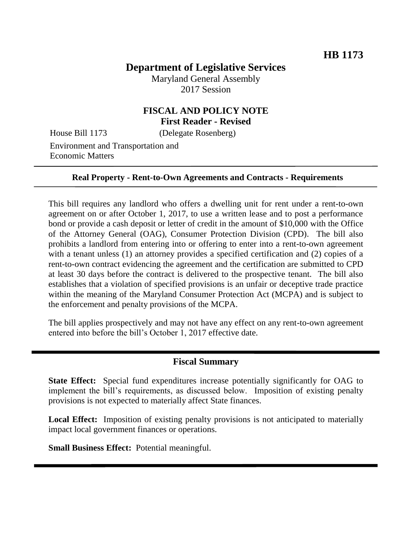# **Department of Legislative Services**

Maryland General Assembly 2017 Session

## **FISCAL AND POLICY NOTE First Reader - Revised**

House Bill 1173 (Delegate Rosenberg)

Environment and Transportation and Economic Matters

#### **Real Property - Rent-to-Own Agreements and Contracts - Requirements**

This bill requires any landlord who offers a dwelling unit for rent under a rent-to-own agreement on or after October 1, 2017, to use a written lease and to post a performance bond or provide a cash deposit or letter of credit in the amount of \$10,000 with the Office of the Attorney General (OAG), Consumer Protection Division (CPD). The bill also prohibits a landlord from entering into or offering to enter into a rent-to-own agreement with a tenant unless (1) an attorney provides a specified certification and (2) copies of a rent-to-own contract evidencing the agreement and the certification are submitted to CPD at least 30 days before the contract is delivered to the prospective tenant. The bill also establishes that a violation of specified provisions is an unfair or deceptive trade practice within the meaning of the Maryland Consumer Protection Act (MCPA) and is subject to the enforcement and penalty provisions of the MCPA.

The bill applies prospectively and may not have any effect on any rent-to-own agreement entered into before the bill's October 1, 2017 effective date.

#### **Fiscal Summary**

**State Effect:** Special fund expenditures increase potentially significantly for OAG to implement the bill's requirements, as discussed below. Imposition of existing penalty provisions is not expected to materially affect State finances.

**Local Effect:** Imposition of existing penalty provisions is not anticipated to materially impact local government finances or operations.

**Small Business Effect:** Potential meaningful.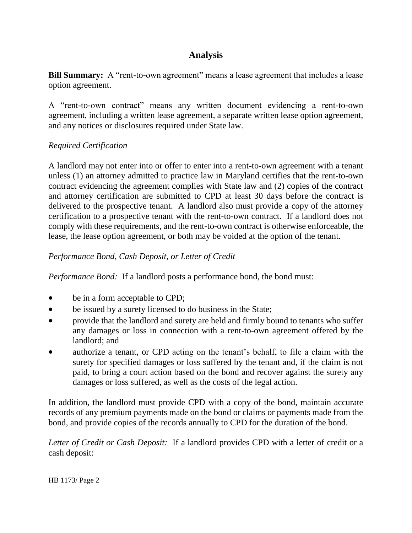# **Analysis**

**Bill Summary:** A "rent-to-own agreement" means a lease agreement that includes a lease option agreement.

A "rent-to-own contract" means any written document evidencing a rent-to-own agreement, including a written lease agreement, a separate written lease option agreement, and any notices or disclosures required under State law.

### *Required Certification*

A landlord may not enter into or offer to enter into a rent-to-own agreement with a tenant unless (1) an attorney admitted to practice law in Maryland certifies that the rent-to-own contract evidencing the agreement complies with State law and (2) copies of the contract and attorney certification are submitted to CPD at least 30 days before the contract is delivered to the prospective tenant. A landlord also must provide a copy of the attorney certification to a prospective tenant with the rent-to-own contract. If a landlord does not comply with these requirements, and the rent-to-own contract is otherwise enforceable, the lease, the lease option agreement, or both may be voided at the option of the tenant.

## *Performance Bond, Cash Deposit, or Letter of Credit*

*Performance Bond:* If a landlord posts a performance bond, the bond must:

- be in a form acceptable to CPD;
- be issued by a surety licensed to do business in the State;
- provide that the landlord and surety are held and firmly bound to tenants who suffer any damages or loss in connection with a rent-to-own agreement offered by the landlord; and
- authorize a tenant, or CPD acting on the tenant's behalf, to file a claim with the surety for specified damages or loss suffered by the tenant and, if the claim is not paid, to bring a court action based on the bond and recover against the surety any damages or loss suffered, as well as the costs of the legal action.

In addition, the landlord must provide CPD with a copy of the bond, maintain accurate records of any premium payments made on the bond or claims or payments made from the bond, and provide copies of the records annually to CPD for the duration of the bond.

*Letter of Credit or Cash Deposit:* If a landlord provides CPD with a letter of credit or a cash deposit: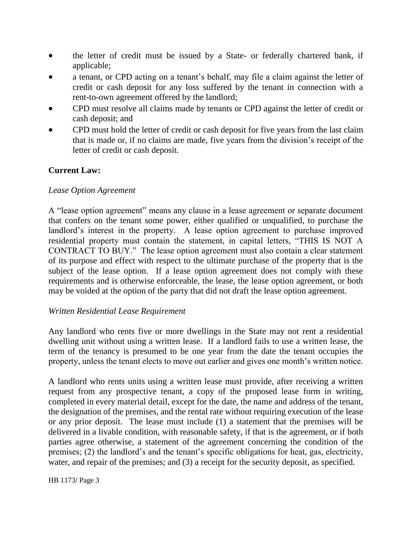- the letter of credit must be issued by a State- or federally chartered bank, if applicable;
- a tenant, or CPD acting on a tenant's behalf, may file a claim against the letter of credit or cash deposit for any loss suffered by the tenant in connection with a rent-to-own agreement offered by the landlord;
- CPD must resolve all claims made by tenants or CPD against the letter of credit or cash deposit; and
- CPD must hold the letter of credit or cash deposit for five years from the last claim that is made or, if no claims are made, five years from the division's receipt of the letter of credit or cash deposit.

### **Current Law:**

### *Lease Option Agreement*

A "lease option agreement" means any clause in a lease agreement or separate document that confers on the tenant some power, either qualified or unqualified, to purchase the landlord's interest in the property. A lease option agreement to purchase improved residential property must contain the statement, in capital letters, "THIS IS NOT A CONTRACT TO BUY." The lease option agreement must also contain a clear statement of its purpose and effect with respect to the ultimate purchase of the property that is the subject of the lease option. If a lease option agreement does not comply with these requirements and is otherwise enforceable, the lease, the lease option agreement, or both may be voided at the option of the party that did not draft the lease option agreement.

### *Written Residential Lease Requirement*

Any landlord who rents five or more dwellings in the State may not rent a residential dwelling unit without using a written lease. If a landlord fails to use a written lease, the term of the tenancy is presumed to be one year from the date the tenant occupies the property, unless the tenant elects to move out earlier and gives one month's written notice.

A landlord who rents units using a written lease must provide, after receiving a written request from any prospective tenant, a copy of the proposed lease form in writing, completed in every material detail, except for the date, the name and address of the tenant, the designation of the premises, and the rental rate without requiring execution of the lease or any prior deposit. The lease must include (1) a statement that the premises will be delivered in a livable condition, with reasonable safety, if that is the agreement, or if both parties agree otherwise, a statement of the agreement concerning the condition of the premises; (2) the landlord's and the tenant's specific obligations for heat, gas, electricity, water, and repair of the premises; and (3) a receipt for the security deposit, as specified.

HB 1173/ Page 3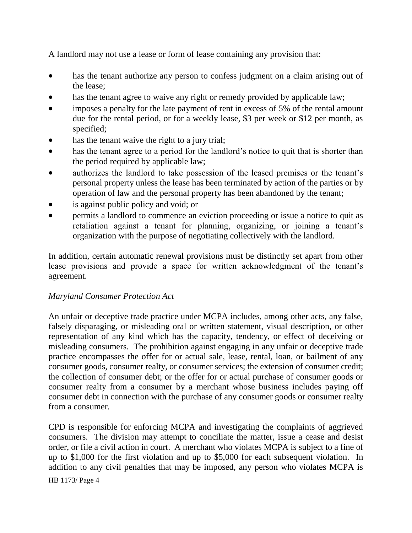A landlord may not use a lease or form of lease containing any provision that:

- has the tenant authorize any person to confess judgment on a claim arising out of the lease;
- has the tenant agree to waive any right or remedy provided by applicable law;
- imposes a penalty for the late payment of rent in excess of 5% of the rental amount due for the rental period, or for a weekly lease, \$3 per week or \$12 per month, as specified;
- has the tenant waive the right to a jury trial;
- has the tenant agree to a period for the landlord's notice to quit that is shorter than the period required by applicable law;
- authorizes the landlord to take possession of the leased premises or the tenant's personal property unless the lease has been terminated by action of the parties or by operation of law and the personal property has been abandoned by the tenant;
- is against public policy and void; or
- permits a landlord to commence an eviction proceeding or issue a notice to quit as retaliation against a tenant for planning, organizing, or joining a tenant's organization with the purpose of negotiating collectively with the landlord.

In addition, certain automatic renewal provisions must be distinctly set apart from other lease provisions and provide a space for written acknowledgment of the tenant's agreement.

## *Maryland Consumer Protection Act*

An unfair or deceptive trade practice under MCPA includes, among other acts, any false, falsely disparaging, or misleading oral or written statement, visual description, or other representation of any kind which has the capacity, tendency, or effect of deceiving or misleading consumers. The prohibition against engaging in any unfair or deceptive trade practice encompasses the offer for or actual sale, lease, rental, loan, or bailment of any consumer goods, consumer realty, or consumer services; the extension of consumer credit; the collection of consumer debt; or the offer for or actual purchase of consumer goods or consumer realty from a consumer by a merchant whose business includes paying off consumer debt in connection with the purchase of any consumer goods or consumer realty from a consumer.

CPD is responsible for enforcing MCPA and investigating the complaints of aggrieved consumers. The division may attempt to conciliate the matter, issue a cease and desist order, or file a civil action in court. A merchant who violates MCPA is subject to a fine of up to \$1,000 for the first violation and up to \$5,000 for each subsequent violation. In addition to any civil penalties that may be imposed, any person who violates MCPA is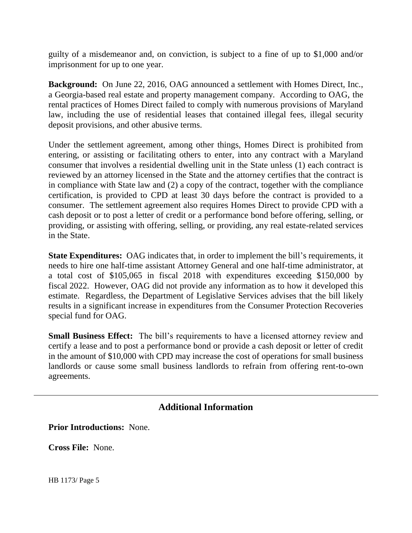guilty of a misdemeanor and, on conviction, is subject to a fine of up to \$1,000 and/or imprisonment for up to one year.

**Background:** On June 22, 2016, OAG announced a settlement with Homes Direct, Inc., a Georgia-based real estate and property management company. According to OAG, the rental practices of Homes Direct failed to comply with numerous provisions of Maryland law, including the use of residential leases that contained illegal fees, illegal security deposit provisions, and other abusive terms.

Under the settlement agreement, among other things, Homes Direct is prohibited from entering, or assisting or facilitating others to enter, into any contract with a Maryland consumer that involves a residential dwelling unit in the State unless (1) each contract is reviewed by an attorney licensed in the State and the attorney certifies that the contract is in compliance with State law and (2) a copy of the contract, together with the compliance certification, is provided to CPD at least 30 days before the contract is provided to a consumer. The settlement agreement also requires Homes Direct to provide CPD with a cash deposit or to post a letter of credit or a performance bond before offering, selling, or providing, or assisting with offering, selling, or providing, any real estate-related services in the State.

**State Expenditures:** OAG indicates that, in order to implement the bill's requirements, it needs to hire one half-time assistant Attorney General and one half-time administrator, at a total cost of \$105,065 in fiscal 2018 with expenditures exceeding \$150,000 by fiscal 2022. However, OAG did not provide any information as to how it developed this estimate. Regardless, the Department of Legislative Services advises that the bill likely results in a significant increase in expenditures from the Consumer Protection Recoveries special fund for OAG.

**Small Business Effect:** The bill's requirements to have a licensed attorney review and certify a lease and to post a performance bond or provide a cash deposit or letter of credit in the amount of \$10,000 with CPD may increase the cost of operations for small business landlords or cause some small business landlords to refrain from offering rent-to-own agreements.

## **Additional Information**

**Prior Introductions:** None.

**Cross File:** None.